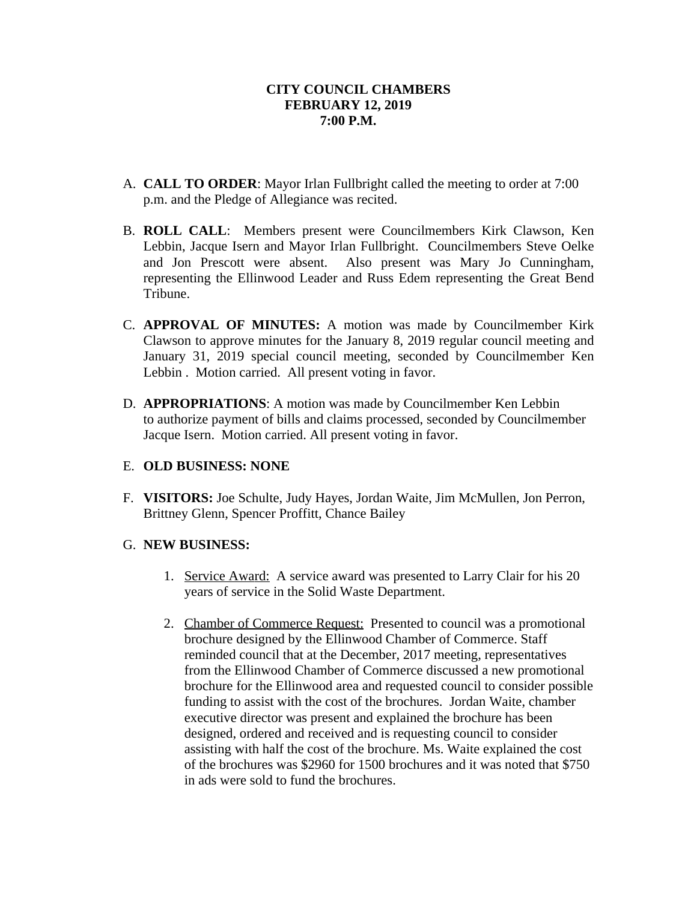- A. **CALL TO ORDER**: Mayor Irlan Fullbright called the meeting to order at 7:00 p.m. and the Pledge of Allegiance was recited.
- B. **ROLL CALL**: Members present were Councilmembers Kirk Clawson, Ken Lebbin, Jacque Isern and Mayor Irlan Fullbright. Councilmembers Steve Oelke and Jon Prescott were absent. Also present was Mary Jo Cunningham, representing the Ellinwood Leader and Russ Edem representing the Great Bend Tribune.
- C. **APPROVAL OF MINUTES:** A motion was made by Councilmember Kirk Clawson to approve minutes for the January 8, 2019 regular council meeting and January 31, 2019 special council meeting, seconded by Councilmember Ken Lebbin . Motion carried. All present voting in favor.
- D. **APPROPRIATIONS**: A motion was made by Councilmember Ken Lebbin to authorize payment of bills and claims processed, seconded by Councilmember Jacque Isern. Motion carried. All present voting in favor.

# E. **OLD BUSINESS: NONE**

F. **VISITORS:** Joe Schulte, Judy Hayes, Jordan Waite, Jim McMullen, Jon Perron, Brittney Glenn, Spencer Proffitt, Chance Bailey

# G. **NEW BUSINESS:**

- 1. Service Award: A service award was presented to Larry Clair for his 20 years of service in the Solid Waste Department.
- 2. Chamber of Commerce Request: Presented to council was a promotional brochure designed by the Ellinwood Chamber of Commerce. Staff reminded council that at the December, 2017 meeting, representatives from the Ellinwood Chamber of Commerce discussed a new promotional brochure for the Ellinwood area and requested council to consider possible funding to assist with the cost of the brochures. Jordan Waite, chamber executive director was present and explained the brochure has been designed, ordered and received and is requesting council to consider assisting with half the cost of the brochure. Ms. Waite explained the cost of the brochures was \$2960 for 1500 brochures and it was noted that \$750 in ads were sold to fund the brochures.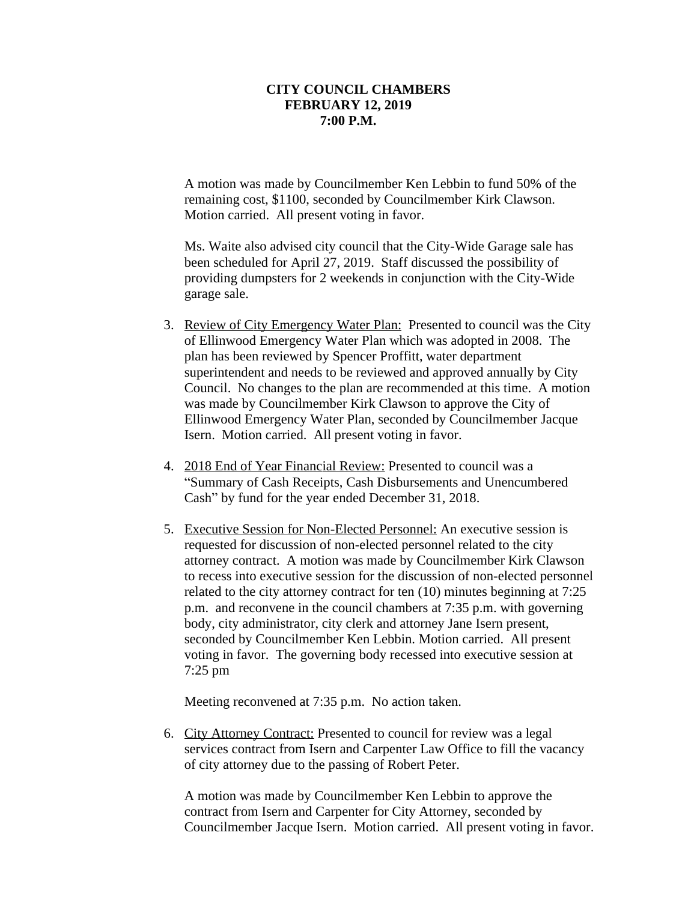A motion was made by Councilmember Ken Lebbin to fund 50% of the remaining cost, \$1100, seconded by Councilmember Kirk Clawson. Motion carried. All present voting in favor.

Ms. Waite also advised city council that the City-Wide Garage sale has been scheduled for April 27, 2019. Staff discussed the possibility of providing dumpsters for 2 weekends in conjunction with the City-Wide garage sale.

- 3. Review of City Emergency Water Plan: Presented to council was the City of Ellinwood Emergency Water Plan which was adopted in 2008. The plan has been reviewed by Spencer Proffitt, water department superintendent and needs to be reviewed and approved annually by City Council. No changes to the plan are recommended at this time. A motion was made by Councilmember Kirk Clawson to approve the City of Ellinwood Emergency Water Plan, seconded by Councilmember Jacque Isern. Motion carried. All present voting in favor.
- 4. 2018 End of Year Financial Review: Presented to council was a "Summary of Cash Receipts, Cash Disbursements and Unencumbered Cash" by fund for the year ended December 31, 2018.
- 5. Executive Session for Non-Elected Personnel: An executive session is requested for discussion of non-elected personnel related to the city attorney contract. A motion was made by Councilmember Kirk Clawson to recess into executive session for the discussion of non-elected personnel related to the city attorney contract for ten (10) minutes beginning at 7:25 p.m. and reconvene in the council chambers at 7:35 p.m. with governing body, city administrator, city clerk and attorney Jane Isern present, seconded by Councilmember Ken Lebbin. Motion carried. All present voting in favor. The governing body recessed into executive session at 7:25 pm

Meeting reconvened at 7:35 p.m. No action taken.

6. City Attorney Contract: Presented to council for review was a legal services contract from Isern and Carpenter Law Office to fill the vacancy of city attorney due to the passing of Robert Peter.

A motion was made by Councilmember Ken Lebbin to approve the contract from Isern and Carpenter for City Attorney, seconded by Councilmember Jacque Isern. Motion carried. All present voting in favor.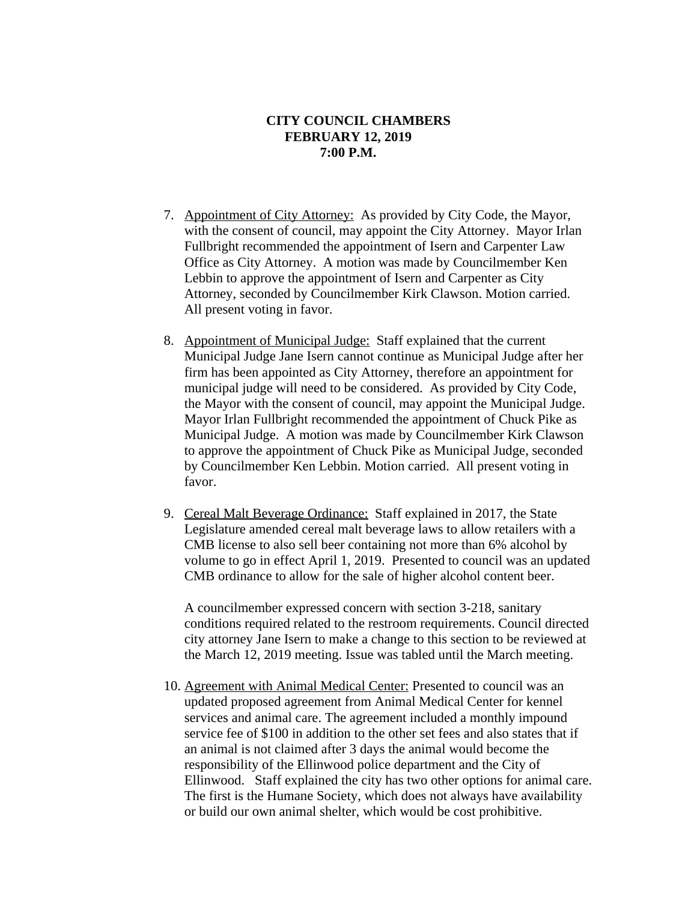- 7. Appointment of City Attorney: As provided by City Code, the Mayor, with the consent of council, may appoint the City Attorney. Mayor Irlan Fullbright recommended the appointment of Isern and Carpenter Law Office as City Attorney. A motion was made by Councilmember Ken Lebbin to approve the appointment of Isern and Carpenter as City Attorney, seconded by Councilmember Kirk Clawson. Motion carried. All present voting in favor.
- 8. Appointment of Municipal Judge: Staff explained that the current Municipal Judge Jane Isern cannot continue as Municipal Judge after her firm has been appointed as City Attorney, therefore an appointment for municipal judge will need to be considered. As provided by City Code, the Mayor with the consent of council, may appoint the Municipal Judge. Mayor Irlan Fullbright recommended the appointment of Chuck Pike as Municipal Judge. A motion was made by Councilmember Kirk Clawson to approve the appointment of Chuck Pike as Municipal Judge, seconded by Councilmember Ken Lebbin. Motion carried. All present voting in favor.
- 9. Cereal Malt Beverage Ordinance: Staff explained in 2017, the State Legislature amended cereal malt beverage laws to allow retailers with a CMB license to also sell beer containing not more than 6% alcohol by volume to go in effect April 1, 2019. Presented to council was an updated CMB ordinance to allow for the sale of higher alcohol content beer.

A councilmember expressed concern with section 3-218, sanitary conditions required related to the restroom requirements. Council directed city attorney Jane Isern to make a change to this section to be reviewed at the March 12, 2019 meeting. Issue was tabled until the March meeting.

10. Agreement with Animal Medical Center: Presented to council was an updated proposed agreement from Animal Medical Center for kennel services and animal care. The agreement included a monthly impound service fee of \$100 in addition to the other set fees and also states that if an animal is not claimed after 3 days the animal would become the responsibility of the Ellinwood police department and the City of Ellinwood. Staff explained the city has two other options for animal care. The first is the Humane Society, which does not always have availability or build our own animal shelter, which would be cost prohibitive.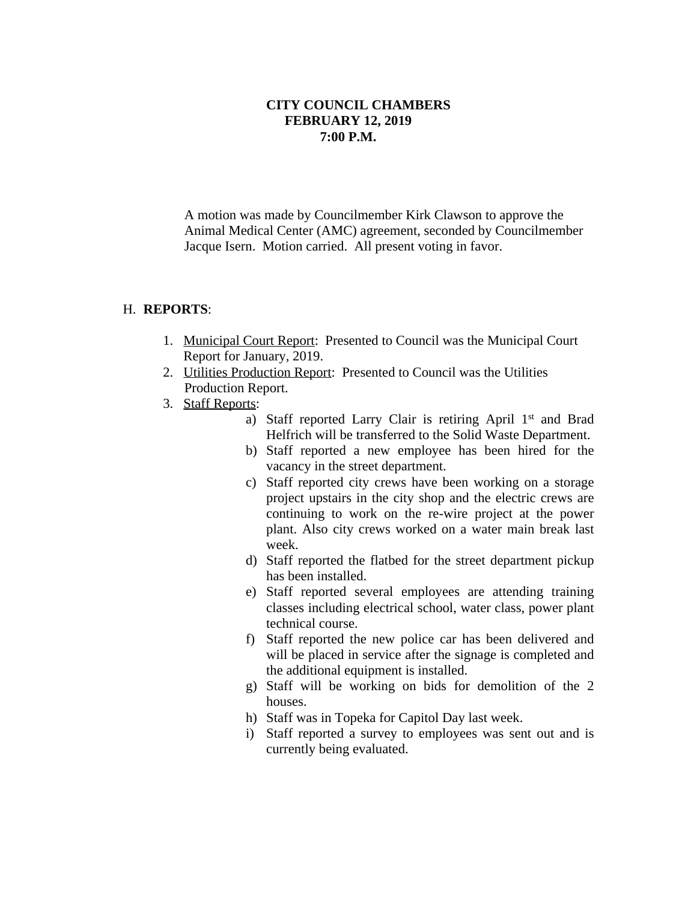A motion was made by Councilmember Kirk Clawson to approve the Animal Medical Center (AMC) agreement, seconded by Councilmember Jacque Isern. Motion carried. All present voting in favor.

#### H. **REPORTS**:

- 1. Municipal Court Report: Presented to Council was the Municipal Court Report for January, 2019.
- 2. Utilities Production Report: Presented to Council was the Utilities Production Report.
- 3. Staff Reports:
	- a) Staff reported Larry Clair is retiring April 1st and Brad Helfrich will be transferred to the Solid Waste Department.
	- b) Staff reported a new employee has been hired for the vacancy in the street department.
	- c) Staff reported city crews have been working on a storage project upstairs in the city shop and the electric crews are continuing to work on the re-wire project at the power plant. Also city crews worked on a water main break last week.
	- d) Staff reported the flatbed for the street department pickup has been installed.
	- e) Staff reported several employees are attending training classes including electrical school, water class, power plant technical course.
	- f) Staff reported the new police car has been delivered and will be placed in service after the signage is completed and the additional equipment is installed.
	- g) Staff will be working on bids for demolition of the 2 houses.
	- h) Staff was in Topeka for Capitol Day last week.
	- i) Staff reported a survey to employees was sent out and is currently being evaluated.